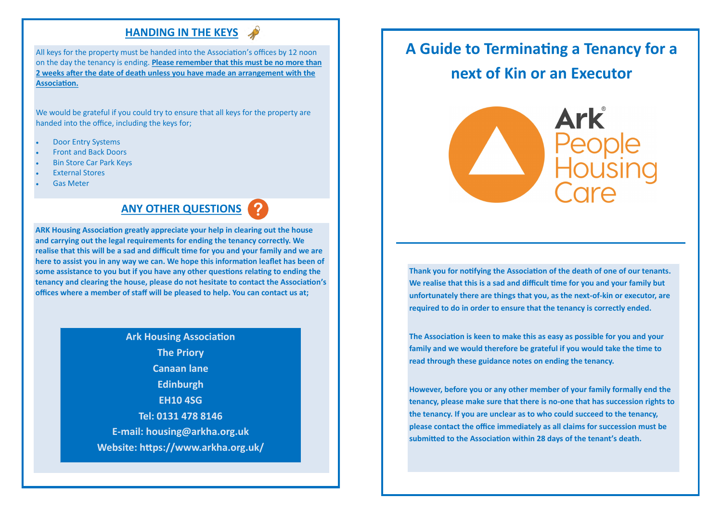# **HANDING IN THE KEYS**

All keys for the property must be handed into the Association's offices by 12 noon on the day the tenancy is ending. **Please remember that this must be no more than 2 weeks after the date of death unless you have made an arrangement with the Association.**

We would be grateful if you could try to ensure that all keys for the property are handed into the office, including the keys for;

- Door Entry Systems
- Front and Back Doors
- Bin Store Car Park Keys
- External Stores
- Gas Meter

# **ANY OTHER QUESTIONS**

**ARK Housing Association greatly appreciate your help in clearing out the house and carrying out the legal requirements for ending the tenancy correctly. We realise that this will be a sad and difficult time for you and your family and we are here to assist you in any way we can. We hope this information leaflet has been of some assistance to you but if you have any other questions relating to ending the tenancy and clearing the house, please do not hesitate to contact the Association's offices where a member of staff will be pleased to help. You can contact us at;**

> **Ark Housing Association The Priory Canaan lane Edinburgh EH10 4SG Tel: 0131 478 8146 E-mail: housing@arkha.org.uk Website: https://www.arkha.org.uk/**

# **A Guide to Terminating a Tenancy for a next of Kin or an Executor**



**Thank you for notifying the Association of the death of one of our tenants. We realise that this is a sad and difficult time for you and your family but unfortunately there are things that you, as the next-of-kin or executor, are required to do in order to ensure that the tenancy is correctly ended.**

**The Association is keen to make this as easy as possible for you and your family and we would therefore be grateful if you would take the time to read through these guidance notes on ending the tenancy.**

**However, before you or any other member of your family formally end the tenancy, please make sure that there is no-one that has succession rights to the tenancy. If you are unclear as to who could succeed to the tenancy, please contact the office immediately as all claims for succession must be submitted to the Association within 28 days of the tenant's death.**